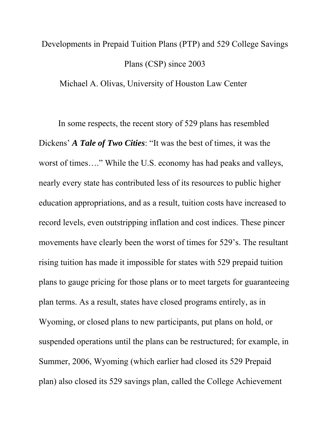# Developments in Prepaid Tuition Plans (PTP) and 529 College Savings Plans (CSP) since 2003

Michael A. Olivas, University of Houston Law Center

In some respects, the recent story of 529 plans has resembled Dickens' *A Tale of Two Cities*: "It was the best of times, it was the worst of times…." While the U.S. economy has had peaks and valleys, nearly every state has contributed less of its resources to public higher education appropriations, and as a result, tuition costs have increased to record levels, even outstripping inflation and cost indices. These pincer movements have clearly been the worst of times for 529's. The resultant rising tuition has made it impossible for states with 529 prepaid tuition plans to gauge pricing for those plans or to meet targets for guaranteeing plan terms. As a result, states have closed programs entirely, as in Wyoming, or closed plans to new participants, put plans on hold, or suspended operations until the plans can be restructured; for example, in Summer, 2006, Wyoming (which earlier had closed its 529 Prepaid plan) also closed its 529 savings plan, called the College Achievement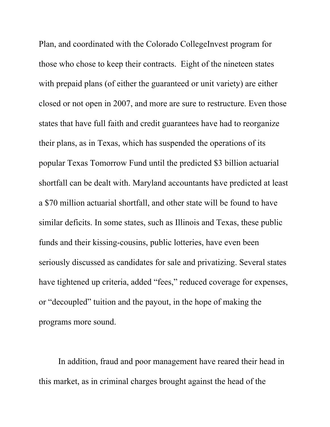Plan, and coordinated with the Colorado CollegeInvest program for those who chose to keep their contracts. Eight of the nineteen states with prepaid plans (of either the guaranteed or unit variety) are either closed or not open in 2007, and more are sure to restructure. Even those states that have full faith and credit guarantees have had to reorganize their plans, as in Texas, which has suspended the operations of its popular Texas Tomorrow Fund until the predicted \$3 billion actuarial shortfall can be dealt with. Maryland accountants have predicted at least a \$70 million actuarial shortfall, and other state will be found to have similar deficits. In some states, such as Illinois and Texas, these public funds and their kissing-cousins, public lotteries, have even been seriously discussed as candidates for sale and privatizing. Several states have tightened up criteria, added "fees," reduced coverage for expenses, or "decoupled" tuition and the payout, in the hope of making the programs more sound.

In addition, fraud and poor management have reared their head in this market, as in criminal charges brought against the head of the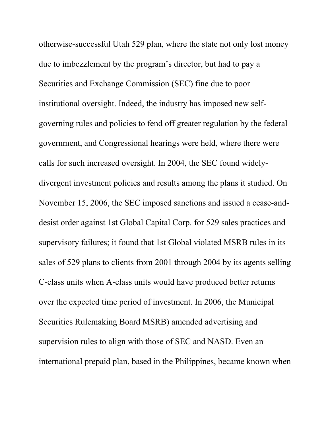otherwise-successful Utah 529 plan, where the state not only lost money due to imbezzlement by the program's director, but had to pay a Securities and Exchange Commission (SEC) fine due to poor institutional oversight. Indeed, the industry has imposed new selfgoverning rules and policies to fend off greater regulation by the federal government, and Congressional hearings were held, where there were calls for such increased oversight. In 2004, the SEC found widelydivergent investment policies and results among the plans it studied. On November 15, 2006, the SEC imposed sanctions and issued a cease-anddesist order against 1st Global Capital Corp. for 529 sales practices and supervisory failures; it found that 1st Global violated MSRB rules in its sales of 529 plans to clients from 2001 through 2004 by its agents selling C-class units when A-class units would have produced better returns over the expected time period of investment. In 2006, the Municipal Securities Rulemaking Board MSRB) amended advertising and supervision rules to align with those of SEC and NASD. Even an international prepaid plan, based in the Philippines, became known when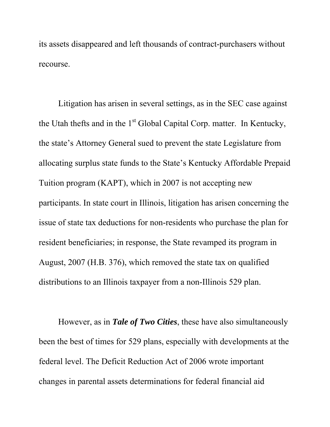its assets disappeared and left thousands of contract-purchasers without recourse.

Litigation has arisen in several settings, as in the SEC case against the Utah thefts and in the  $1<sup>st</sup>$  Global Capital Corp. matter. In Kentucky, the state's Attorney General sued to prevent the state Legislature from allocating surplus state funds to the State's [Kentucky Affordable Prepaid](http://www.savingforcollege.com/529_plan_details/index.php?page=plan_details&plan_id=81)  [Tuition program \(KAPT\), which in 2007 is not accepting new](http://www.savingforcollege.com/529_plan_details/index.php?page=plan_details&plan_id=81)  [participants. I](http://www.savingforcollege.com/529_plan_details/index.php?page=plan_details&plan_id=81)n state court in Illinois, litigation has arisen concerning the issue of state tax deductions for non-residents who purchase the plan for resident beneficiaries; in response, the State revamped its program in August, 2007 (H.B. 376), which removed the state tax on qualified distributions to an Illinois taxpayer from a non-Illinois 529 plan.

However, as in *Tale of Two Cities*, these have also simultaneously been the best of times for 529 plans, especially with developments at the federal level. The Deficit Reduction Act of 2006 wrote important changes in parental assets determinations for federal financial aid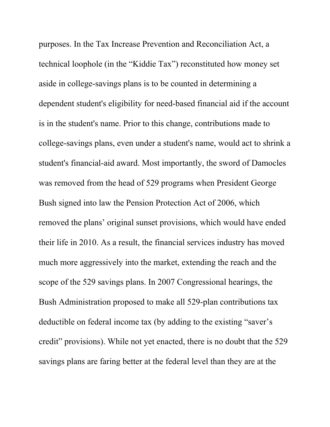purposes. In the Tax Increase Prevention and Reconciliation Act, a technical loophole (in the "Kiddie Tax") reconstituted how money set aside in college-savings plans is to be counted in determining a dependent student's eligibility for need-based financial aid if the account is in the student's name. Prior to this change, contributions made to college-savings plans, even under a student's name, would act to shrink a student's financial-aid award. Most importantly, the sword of Damocles was removed from the head of 529 programs when President George Bush signed into law the Pension Protection Act of 2006, which removed the plans' original sunset provisions, which would have ended their life in 2010. As a result, the financial services industry has moved much more aggressively into the market, extending the reach and the scope of the 529 savings plans. In 2007 Congressional hearings, the Bush Administration proposed to make all 529-plan contributions tax deductible on federal income tax (by adding to the existing "saver's credit" provisions). While not yet enacted, there is no doubt that the 529 savings plans are faring better at the federal level than they are at the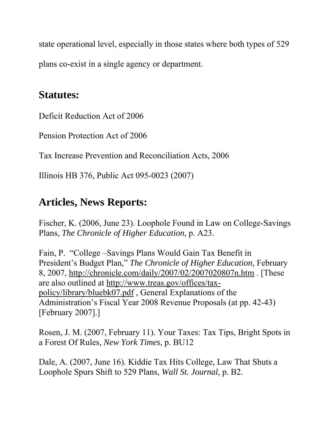state operational level, especially in those states where both types of 529 plans co-exist in a single agency or department.

### **Statutes:**

Deficit Reduction Act of 2006

Pension Protection Act of 2006

Tax Increase Prevention and Reconciliation Acts, 2006

Illinois HB 376, Public Act 095-0023 (2007)

## **Articles, News Reports:**

Fischer, K. (2006, June 23). Loophole Found in Law on College-Savings Plans, *The Chronicle of Higher Education*, p. A23.

Fain, P. "College –Savings Plans Would Gain Tax Benefit in President's Budget Plan," *The Chronicle of Higher Education,* February 8, 2007, <http://chronicle.com/daily/2007/02/2007020807n.htm>. [These are also outlined at [http://www.treas.gov/offices/tax](http://www.treas.gov/offices/tax-policy/library/bluebk07.pdf)[policy/library/bluebk07.pdf](http://www.treas.gov/offices/tax-policy/library/bluebk07.pdf) , General Explanations of the Administration's Fiscal Year 2008 Revenue Proposals (at pp. 42-43) [February 2007].]

Rosen, J. M. (2007, February 11). Your Taxes: Tax Tips, Bright Spots in a Forest Of Rules, *New York Times*, p. BU12

Dale, A. (2007, June 16). Kiddie Tax Hits College, Law That Shuts a Loophole Spurs Shift to 529 Plans, *Wall St. Journal*, p. B2.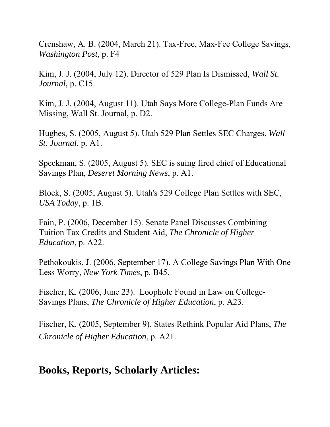Crenshaw, A. B. (2004, March 21). Tax-Free, Max-Fee College Savings, *Washington Post*, p. F4

Kim, J. J. (2004, July 12). Director of 529 Plan Is Dismissed, *Wall St. Journal*, p. C15.

Kim, J. J. (2004, August 11). Utah Says More College-Plan Funds Are Missing, Wall St. Journal, p. D2.

Hughes, S. (2005, August 5). Utah 529 Plan Settles SEC Charges, *Wall St. Journal*, p. A1.

Speckman, S. (2005, August 5). SEC is suing fired chief of Educational Savings Plan, *Deseret Morning News*, p. A1.

Block, S. (2005, August 5). Utah's 529 College Plan Settles with SEC, *USA Today*, p. 1B.

Fain, P. (2006, December 15). Senate Panel Discusses Combining Tuition Tax Credits and Student Aid, *The Chronicle of Higher Education*, p. A22.

Pethokoukis, J. (2006, September 17). A College Savings Plan With One Less Worry, *New York Times*, p. B45.

Fischer, K. (2006, June 23). Loophole Found in Law on College-Savings Plans, *The Chronicle of Higher Education*, p. A23.

Fischer, K. (2005, September 9). States Rethink Popular Aid Plans, *The Chronicle of Higher Education*, p. A21.

#### **Books, Reports, Scholarly Articles:**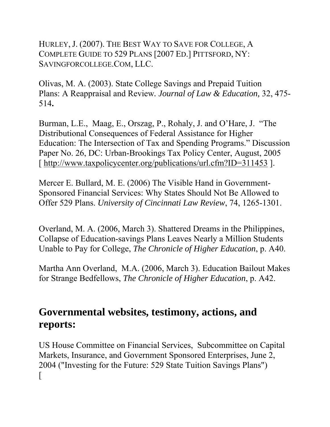HURLEY, J. (2007). THE BEST WAY TO SAVE FOR COLLEGE, A COMPLETE GUIDE TO 529 PLANS [2007 ED.] PITTSFORD, NY: SAVINGFORCOLLEGE.COM, LLC.

Olivas, M. A. (2003). State College Savings and Prepaid Tuition Plans: A Reappraisal and Review*. Journal of Law & Education,* 32, 475- 514**.**

Burman, L.E., Maag, E., Orszag, P., Rohaly, J. and O'Hare, J. "The Distributional Consequences of Federal Assistance for Higher Education: The Intersection of Tax and Spending Programs." Discussion Paper No. 26, DC: Urban-Brookings Tax Policy Center, August, 2005 [<http://www.taxpolicycenter.org/publications/url.cfm?ID=311453>].

Mercer E. Bullard, M. E. (2006) The Visible Hand in Government-Sponsored Financial Services: Why States Should Not Be Allowed to Offer 529 Plans. *University of Cincinnati Law Review*, 74, 1265-1301.

Overland, M. A. (2006, March 3). Shattered Dreams in the Philippines, Collapse of Education-savings Plans Leaves Nearly a Million Students Unable to Pay for College, *The Chronicle of Higher Education*, p. A40.

Martha Ann Overland, M.A. (2006, March 3). Education Bailout Makes for Strange Bedfellows, *The Chronicle of Higher Education*, p. A42.

### **Governmental websites, testimony, actions, and reports:**

US House Committee on Financial Services, Subcommittee on Capital Markets, Insurance, and Government Sponsored Enterprises, June 2, 2004 ("Investing for the Future: 529 State Tuition Savings Plans")  $\mathsf{L}$